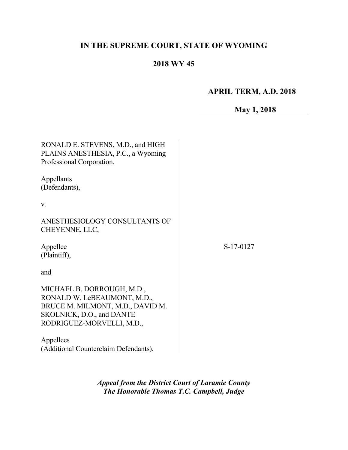# **IN THE SUPREME COURT, STATE OF WYOMING**

# **2018 WY 45**

# **APRIL TERM, A.D. 2018**

# **May 1, 2018**

| RONALD E. STEVENS, M.D., and HIGH<br>PLAINS ANESTHESIA, P.C., a Wyoming<br>Professional Corporation,                                                    |           |
|---------------------------------------------------------------------------------------------------------------------------------------------------------|-----------|
| Appellants<br>(Defendants),                                                                                                                             |           |
| $V_{\rm r}$                                                                                                                                             |           |
| ANESTHESIOLOGY CONSULTANTS OF<br>CHEYENNE, LLC,                                                                                                         |           |
| Appellee<br>(Plaintiff),                                                                                                                                | S-17-0127 |
| and                                                                                                                                                     |           |
| MICHAEL B. DORROUGH, M.D.,<br>RONALD W. LeBEAUMONT, M.D.,<br>BRUCE M. MILMONT, M.D., DAVID M.<br>SKOLNICK, D.O., and DANTE<br>RODRIGUEZ-MORVELLI, M.D., |           |
| Appellees<br>(Additional Counterclaim Defendants).                                                                                                      |           |

*Appeal from the District Court of Laramie County The Honorable Thomas T.C. Campbell, Judge*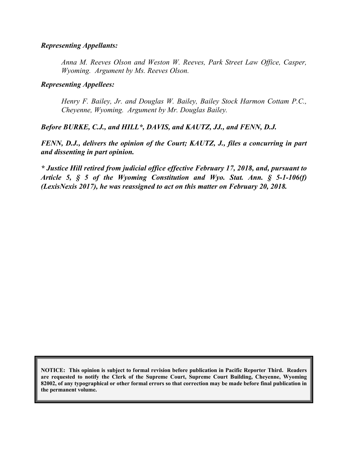#### *Representing Appellants:*

*Anna M. Reeves Olson and Weston W. Reeves, Park Street Law Office, Casper, Wyoming. Argument by Ms. Reeves Olson.*

#### *Representing Appellees:*

*Henry F. Bailey, Jr. and Douglas W. Bailey, Bailey Stock Harmon Cottam P.C., Cheyenne, Wyoming. Argument by Mr. Douglas Bailey.*

*Before BURKE, C.J., and HILL\*, DAVIS, and KAUTZ, JJ., and FENN, D.J.*

*FENN, D.J., delivers the opinion of the Court; KAUTZ, J., files a concurring in part and dissenting in part opinion.*

*\* Justice Hill retired from judicial office effective February 17, 2018, and, pursuant to Article 5, § 5 of the Wyoming Constitution and Wyo. Stat. Ann. § 5-1-106(f) (LexisNexis 2017), he was reassigned to act on this matter on February 20, 2018.*

**NOTICE: This opinion is subject to formal revision before publication in Pacific Reporter Third. Readers are requested to notify the Clerk of the Supreme Court, Supreme Court Building, Cheyenne, Wyoming 82002, of any typographical or other formal errors so that correction may be made before final publication in the permanent volume.**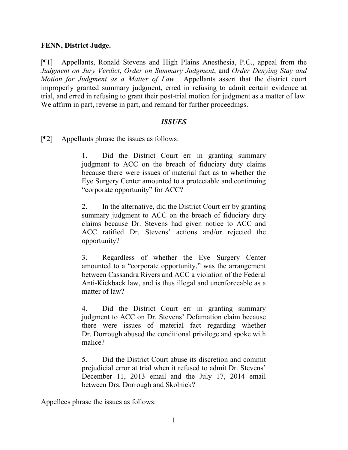#### **FENN, District Judge.**

[¶1] Appellants, Ronald Stevens and High Plains Anesthesia, P.C., appeal from the *Judgment on Jury Verdict*, *Order on Summary Judgment*, and *Order Denying Stay and Motion for Judgment as a Matter of Law*. Appellants assert that the district court improperly granted summary judgment, erred in refusing to admit certain evidence at trial, and erred in refusing to grant their post-trial motion for judgment as a matter of law. We affirm in part, reverse in part, and remand for further proceedings.

#### *ISSUES*

[¶2] Appellants phrase the issues as follows:

1. Did the District Court err in granting summary judgment to ACC on the breach of fiduciary duty claims because there were issues of material fact as to whether the Eye Surgery Center amounted to a protectable and continuing "corporate opportunity" for ACC?

2. In the alternative, did the District Court err by granting summary judgment to ACC on the breach of fiduciary duty claims because Dr. Stevens had given notice to ACC and ACC ratified Dr. Stevens' actions and/or rejected the opportunity?

3. Regardless of whether the Eye Surgery Center amounted to a "corporate opportunity," was the arrangement between Cassandra Rivers and ACC a violation of the Federal Anti-Kickback law, and is thus illegal and unenforceable as a matter of law?

4. Did the District Court err in granting summary judgment to ACC on Dr. Stevens' Defamation claim because there were issues of material fact regarding whether Dr. Dorrough abused the conditional privilege and spoke with malice?

5. Did the District Court abuse its discretion and commit prejudicial error at trial when it refused to admit Dr. Stevens' December 11, 2013 email and the July 17, 2014 email between Drs. Dorrough and Skolnick?

Appellees phrase the issues as follows: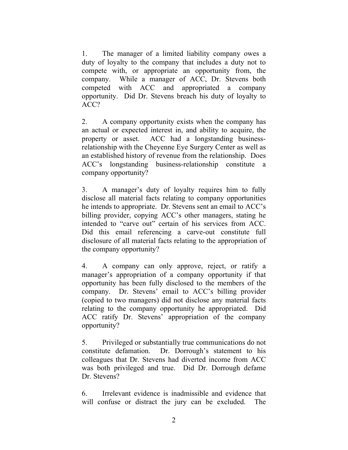1. The manager of a limited liability company owes a duty of loyalty to the company that includes a duty not to compete with, or appropriate an opportunity from, the company. While a manager of ACC, Dr. Stevens both competed with ACC and appropriated a company opportunity. Did Dr. Stevens breach his duty of loyalty to ACC?

2. A company opportunity exists when the company has an actual or expected interest in, and ability to acquire, the property or asset. ACC had a longstanding businessrelationship with the Cheyenne Eye Surgery Center as well as an established history of revenue from the relationship. Does ACC's longstanding business-relationship constitute a company opportunity?

3. A manager's duty of loyalty requires him to fully disclose all material facts relating to company opportunities he intends to appropriate. Dr. Stevens sent an email to ACC's billing provider, copying ACC's other managers, stating he intended to "carve out" certain of his services from ACC. Did this email referencing a carve-out constitute full disclosure of all material facts relating to the appropriation of the company opportunity?

4. A company can only approve, reject, or ratify a manager's appropriation of a company opportunity if that opportunity has been fully disclosed to the members of the company. Dr. Stevens' email to ACC's billing provider (copied to two managers) did not disclose any material facts relating to the company opportunity he appropriated. Did ACC ratify Dr. Stevens' appropriation of the company opportunity?

5. Privileged or substantially true communications do not constitute defamation. Dr. Dorrough's statement to his colleagues that Dr. Stevens had diverted income from ACC was both privileged and true. Did Dr. Dorrough defame Dr. Stevens?

6. Irrelevant evidence is inadmissible and evidence that will confuse or distract the jury can be excluded. The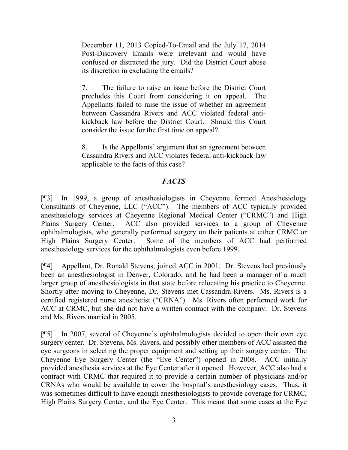December 11, 2013 Copied-To-Email and the July 17, 2014 Post-Discovery Emails were irrelevant and would have confused or distracted the jury. Did the District Court abuse its discretion in excluding the emails?

7. The failure to raise an issue before the District Court precludes this Court from considering it on appeal. The Appellants failed to raise the issue of whether an agreement between Cassandra Rivers and ACC violated federal antikickback law before the District Court. Should this Court consider the issue for the first time on appeal?

8. Is the Appellants' argument that an agreement between Cassandra Rivers and ACC violates federal anti-kickback law applicable to the facts of this case?

# *FACTS*

[¶3] In 1999, a group of anesthesiologists in Cheyenne formed Anesthesiology Consultants of Cheyenne, LLC ("ACC"). The members of ACC typically provided anesthesiology services at Cheyenne Regional Medical Center ("CRMC") and High Plains Surgery Center. ACC also provided services to a group of Cheyenne ophthalmologists, who generally performed surgery on their patients at either CRMC or High Plains Surgery Center. Some of the members of ACC had performed anesthesiology services for the ophthalmologists even before 1999.

[¶4] Appellant, Dr. Ronald Stevens, joined ACC in 2001. Dr. Stevens had previously been an anesthesiologist in Denver, Colorado, and he had been a manager of a much larger group of anesthesiologists in that state before relocating his practice to Cheyenne. Shortly after moving to Cheyenne, Dr. Stevens met Cassandra Rivers. Ms. Rivers is a certified registered nurse anesthetist ("CRNA"). Ms. Rivers often performed work for ACC at CRMC, but she did not have a written contract with the company. Dr. Stevens and Ms. Rivers married in 2005.

[¶5] In 2007, several of Cheyenne's ophthalmologists decided to open their own eye surgery center. Dr. Stevens, Ms. Rivers, and possibly other members of ACC assisted the eye surgeons in selecting the proper equipment and setting up their surgery center. The Cheyenne Eye Surgery Center (the "Eye Center") opened in 2008. ACC initially provided anesthesia services at the Eye Center after it opened. However, ACC also had a contract with CRMC that required it to provide a certain number of physicians and/or CRNAs who would be available to cover the hospital's anesthesiology cases. Thus, it was sometimes difficult to have enough anesthesiologists to provide coverage for CRMC, High Plains Surgery Center, and the Eye Center. This meant that some cases at the Eye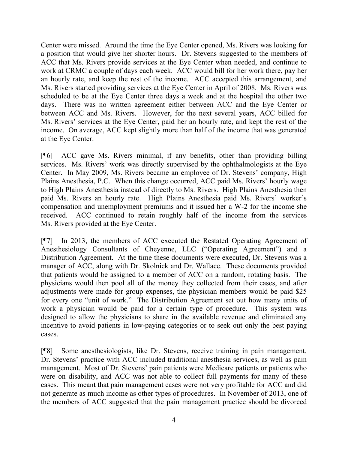Center were missed. Around the time the Eye Center opened, Ms. Rivers was looking for a position that would give her shorter hours. Dr. Stevens suggested to the members of ACC that Ms. Rivers provide services at the Eye Center when needed, and continue to work at CRMC a couple of days each week. ACC would bill for her work there, pay her an hourly rate, and keep the rest of the income. ACC accepted this arrangement, and Ms. Rivers started providing services at the Eye Center in April of 2008. Ms. Rivers was scheduled to be at the Eye Center three days a week and at the hospital the other two days. There was no written agreement either between ACC and the Eye Center or between ACC and Ms. Rivers. However, for the next several years, ACC billed for Ms. Rivers' services at the Eye Center, paid her an hourly rate, and kept the rest of the income. On average, ACC kept slightly more than half of the income that was generated at the Eye Center.

[¶6] ACC gave Ms. Rivers minimal, if any benefits, other than providing billing services. Ms. Rivers' work was directly supervised by the ophthalmologists at the Eye Center. In May 2009, Ms. Rivers became an employee of Dr. Stevens' company, High Plains Anesthesia, P.C. When this change occurred, ACC paid Ms. Rivers' hourly wage to High Plains Anesthesia instead of directly to Ms. Rivers. High Plains Anesthesia then paid Ms. Rivers an hourly rate. High Plains Anesthesia paid Ms. Rivers' worker's compensation and unemployment premiums and it issued her a W-2 for the income she received. ACC continued to retain roughly half of the income from the services Ms. Rivers provided at the Eye Center.

[¶7] In 2013, the members of ACC executed the Restated Operating Agreement of Anesthesiology Consultants of Cheyenne, LLC ("Operating Agreement") and a Distribution Agreement. At the time these documents were executed, Dr. Stevens was a manager of ACC, along with Dr. Skolnick and Dr. Wallace. These documents provided that patients would be assigned to a member of ACC on a random, rotating basis. The physicians would then pool all of the money they collected from their cases, and after adjustments were made for group expenses, the physician members would be paid \$25 for every one "unit of work." The Distribution Agreement set out how many units of work a physician would be paid for a certain type of procedure. This system was designed to allow the physicians to share in the available revenue and eliminated any incentive to avoid patients in low-paying categories or to seek out only the best paying cases.

[¶8] Some anesthesiologists, like Dr. Stevens, receive training in pain management. Dr. Stevens' practice with ACC included traditional anesthesia services, as well as pain management. Most of Dr. Stevens' pain patients were Medicare patients or patients who were on disability, and ACC was not able to collect full payments for many of these cases. This meant that pain management cases were not very profitable for ACC and did not generate as much income as other types of procedures. In November of 2013, one of the members of ACC suggested that the pain management practice should be divorced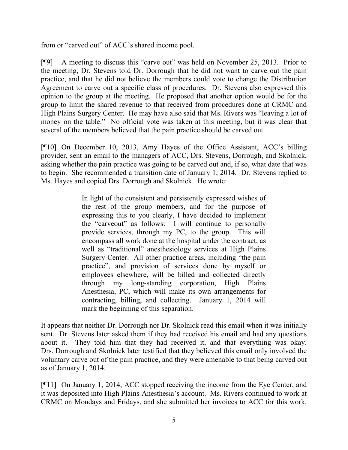from or "carved out" of ACC's shared income pool.

[¶9] A meeting to discuss this "carve out" was held on November 25, 2013. Prior to the meeting, Dr. Stevens told Dr. Dorrough that he did not want to carve out the pain practice, and that he did not believe the members could vote to change the Distribution Agreement to carve out a specific class of procedures. Dr. Stevens also expressed this opinion to the group at the meeting. He proposed that another option would be for the group to limit the shared revenue to that received from procedures done at CRMC and High Plains Surgery Center. He may have also said that Ms. Rivers was "leaving a lot of money on the table." No official vote was taken at this meeting, but it was clear that several of the members believed that the pain practice should be carved out.

[¶10] On December 10, 2013, Amy Hayes of the Office Assistant, ACC's billing provider, sent an email to the managers of ACC, Drs. Stevens, Dorrough, and Skolnick, asking whether the pain practice was going to be carved out and, if so, what date that was to begin. She recommended a transition date of January 1, 2014. Dr. Stevens replied to Ms. Hayes and copied Drs. Dorrough and Skolnick. He wrote:

> In light of the consistent and persistently expressed wishes of the rest of the group members, and for the purpose of expressing this to you clearly, I have decided to implement the "carveout" as follows: I will continue to personally provide services, through my PC, to the group. This will encompass all work done at the hospital under the contract, as well as "traditional" anesthesiology services at High Plains Surgery Center. All other practice areas, including "the pain practice", and provision of services done by myself or employees elsewhere, will be billed and collected directly through my long-standing corporation, High Plains Anesthesia, PC, which will make its own arrangements for contracting, billing, and collecting. January 1, 2014 will mark the beginning of this separation.

It appears that neither Dr. Dorrough nor Dr. Skolnick read this email when it was initially sent. Dr. Stevens later asked them if they had received his email and had any questions about it. They told him that they had received it, and that everything was okay. Drs. Dorrough and Skolnick later testified that they believed this email only involved the voluntary carve out of the pain practice, and they were amenable to that being carved out as of January 1, 2014.

[¶11] On January 1, 2014, ACC stopped receiving the income from the Eye Center, and it was deposited into High Plains Anesthesia's account. Ms. Rivers continued to work at CRMC on Mondays and Fridays, and she submitted her invoices to ACC for this work.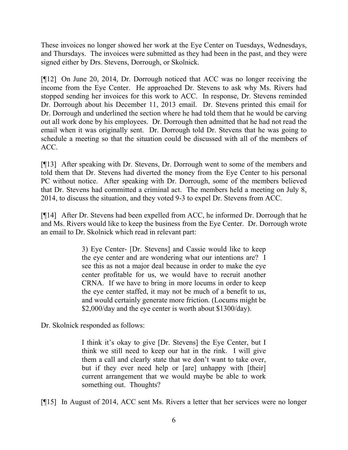These invoices no longer showed her work at the Eye Center on Tuesdays, Wednesdays, and Thursdays. The invoices were submitted as they had been in the past, and they were signed either by Drs. Stevens, Dorrough, or Skolnick.

[¶12] On June 20, 2014, Dr. Dorrough noticed that ACC was no longer receiving the income from the Eye Center. He approached Dr. Stevens to ask why Ms. Rivers had stopped sending her invoices for this work to ACC. In response, Dr. Stevens reminded Dr. Dorrough about his December 11, 2013 email. Dr. Stevens printed this email for Dr. Dorrough and underlined the section where he had told them that he would be carving out all work done by his employees. Dr. Dorrough then admitted that he had not read the email when it was originally sent. Dr. Dorrough told Dr. Stevens that he was going to schedule a meeting so that the situation could be discussed with all of the members of ACC.

[¶13] After speaking with Dr. Stevens, Dr. Dorrough went to some of the members and told them that Dr. Stevens had diverted the money from the Eye Center to his personal PC without notice. After speaking with Dr. Dorrough, some of the members believed that Dr. Stevens had committed a criminal act. The members held a meeting on July 8, 2014, to discuss the situation, and they voted 9-3 to expel Dr. Stevens from ACC.

[¶14] After Dr. Stevens had been expelled from ACC, he informed Dr. Dorrough that he and Ms. Rivers would like to keep the business from the Eye Center. Dr. Dorrough wrote an email to Dr. Skolnick which read in relevant part:

> 3) Eye Center- [Dr. Stevens] and Cassie would like to keep the eye center and are wondering what our intentions are? I see this as not a major deal because in order to make the eye center profitable for us, we would have to recruit another CRNA. If we have to bring in more locums in order to keep the eye center staffed, it may not be much of a benefit to us, and would certainly generate more friction. (Locums might be \$2,000/day and the eye center is worth about \$1300/day).

Dr. Skolnick responded as follows:

I think it's okay to give [Dr. Stevens] the Eye Center, but I think we still need to keep our hat in the rink. I will give them a call and clearly state that we don't want to take over, but if they ever need help or [are] unhappy with [their] current arrangement that we would maybe be able to work something out. Thoughts?

[¶15] In August of 2014, ACC sent Ms. Rivers a letter that her services were no longer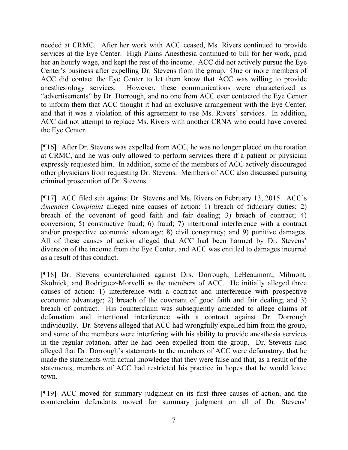needed at CRMC. After her work with ACC ceased, Ms. Rivers continued to provide services at the Eye Center. High Plains Anesthesia continued to bill for her work, paid her an hourly wage, and kept the rest of the income. ACC did not actively pursue the Eye Center's business after expelling Dr. Stevens from the group. One or more members of ACC did contact the Eye Center to let them know that ACC was willing to provide anesthesiology services. However, these communications were characterized as "advertisements" by Dr. Dorrough, and no one from ACC ever contacted the Eye Center to inform them that ACC thought it had an exclusive arrangement with the Eye Center, and that it was a violation of this agreement to use Ms. Rivers' services. In addition, ACC did not attempt to replace Ms. Rivers with another CRNA who could have covered the Eye Center.

[¶16] After Dr. Stevens was expelled from ACC, he was no longer placed on the rotation at CRMC, and he was only allowed to perform services there if a patient or physician expressly requested him. In addition, some of the members of ACC actively discouraged other physicians from requesting Dr. Stevens. Members of ACC also discussed pursuing criminal prosecution of Dr. Stevens.

[¶17] ACC filed suit against Dr. Stevens and Ms. Rivers on February 13, 2015. ACC's *Amended Complaint* alleged nine causes of action: 1) breach of fiduciary duties; 2) breach of the covenant of good faith and fair dealing; 3) breach of contract; 4) conversion; 5) constructive fraud; 6) fraud; 7) intentional interference with a contract and/or prospective economic advantage; 8) civil conspiracy; and 9) punitive damages. All of these causes of action alleged that ACC had been harmed by Dr. Stevens' diversion of the income from the Eye Center, and ACC was entitled to damages incurred as a result of this conduct.

[¶18] Dr. Stevens counterclaimed against Drs. Dorrough, LeBeaumont, Milmont, Skolnick, and Rodriguez-Morvelli as the members of ACC. He initially alleged three causes of action: 1) interference with a contract and interference with prospective economic advantage; 2) breach of the covenant of good faith and fair dealing; and 3) breach of contract. His counterclaim was subsequently amended to allege claims of defamation and intentional interference with a contract against Dr. Dorrough individually. Dr. Stevens alleged that ACC had wrongfully expelled him from the group, and some of the members were interfering with his ability to provide anesthesia services in the regular rotation, after he had been expelled from the group. Dr. Stevens also alleged that Dr. Dorrough's statements to the members of ACC were defamatory, that he made the statements with actual knowledge that they were false and that, as a result of the statements, members of ACC had restricted his practice in hopes that he would leave town.

[¶19] ACC moved for summary judgment on its first three causes of action, and the counterclaim defendants moved for summary judgment on all of Dr. Stevens'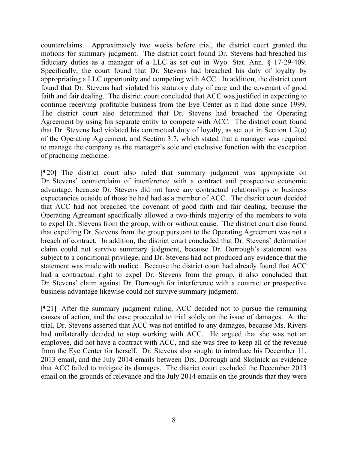counterclaims. Approximately two weeks before trial, the district court granted the motions for summary judgment. The district court found Dr. Stevens had breached his fiduciary duties as a manager of a LLC as set out in Wyo. Stat. Ann. § 17-29-409. Specifically, the court found that Dr. Stevens had breached his duty of loyalty by appropriating a LLC opportunity and competing with ACC. In addition, the district court found that Dr. Stevens had violated his statutory duty of care and the covenant of good faith and fair dealing. The district court concluded that ACC was justified in expecting to continue receiving profitable business from the Eye Center as it had done since 1999. The district court also determined that Dr. Stevens had breached the Operating Agreement by using his separate entity to compete with ACC. The district court found that Dr. Stevens had violated his contractual duty of loyalty, as set out in Section 1.2(o) of the Operating Agreement, and Section 3.7, which stated that a manager was required to manage the company as the manager's sole and exclusive function with the exception of practicing medicine.

[¶20] The district court also ruled that summary judgment was appropriate on Dr. Stevens' counterclaim of interference with a contract and prospective economic advantage, because Dr. Stevens did not have any contractual relationships or business expectancies outside of those he had had as a member of ACC. The district court decided that ACC had not breached the covenant of good faith and fair dealing, because the Operating Agreement specifically allowed a two-thirds majority of the members to vote to expel Dr. Stevens from the group, with or without cause. The district court also found that expelling Dr. Stevens from the group pursuant to the Operating Agreement was not a breach of contract. In addition, the district court concluded that Dr. Stevens' defamation claim could not survive summary judgment, because Dr. Dorrough's statement was subject to a conditional privilege, and Dr. Stevens had not produced any evidence that the statement was made with malice. Because the district court had already found that ACC had a contractual right to expel Dr. Stevens from the group, it also concluded that Dr. Stevens' claim against Dr. Dorrough for interference with a contract or prospective business advantage likewise could not survive summary judgment.

[¶21] After the summary judgment ruling, ACC decided not to pursue the remaining causes of action, and the case proceeded to trial solely on the issue of damages. At the trial, Dr. Stevens asserted that ACC was not entitled to any damages, because Ms. Rivers had unilaterally decided to stop working with ACC. He argued that she was not an employee, did not have a contract with ACC, and she was free to keep all of the revenue from the Eye Center for herself. Dr. Stevens also sought to introduce his December 11, 2013 email, and the July 2014 emails between Drs. Dorrough and Skolnick as evidence that ACC failed to mitigate its damages. The district court excluded the December 2013 email on the grounds of relevance and the July 2014 emails on the grounds that they were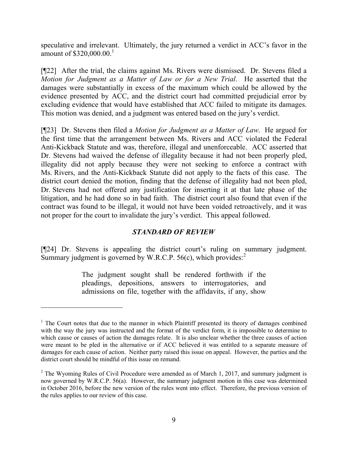speculative and irrelevant. Ultimately, the jury returned a verdict in ACC's favor in the amount of  $$320,000.00$ <sup>1</sup>

[¶22] After the trial, the claims against Ms. Rivers were dismissed. Dr. Stevens filed a *Motion for Judgment as a Matter of Law or for a New Trial*. He asserted that the damages were substantially in excess of the maximum which could be allowed by the evidence presented by ACC, and the district court had committed prejudicial error by excluding evidence that would have established that ACC failed to mitigate its damages. This motion was denied, and a judgment was entered based on the jury's verdict.

[¶23] Dr. Stevens then filed a *Motion for Judgment as a Matter of Law*. He argued for the first time that the arrangement between Ms. Rivers and ACC violated the Federal Anti-Kickback Statute and was, therefore, illegal and unenforceable. ACC asserted that Dr. Stevens had waived the defense of illegality because it had not been properly pled, illegality did not apply because they were not seeking to enforce a contract with Ms. Rivers, and the Anti-Kickback Statute did not apply to the facts of this case. The district court denied the motion, finding that the defense of illegality had not been pled, Dr. Stevens had not offered any justification for inserting it at that late phase of the litigation, and he had done so in bad faith. The district court also found that even if the contract was found to be illegal, it would not have been voided retroactively, and it was not proper for the court to invalidate the jury's verdict. This appeal followed.

# *STANDARD OF REVIEW*

[¶24] Dr. Stevens is appealing the district court's ruling on summary judgment. Summary judgment is governed by W.R.C.P.  $56(c)$ , which provides:<sup>2</sup>

> The judgment sought shall be rendered forthwith if the pleadings, depositions, answers to interrogatories, and admissions on file, together with the affidavits, if any, show

 $\overline{a}$ 

 $<sup>1</sup>$  The Court notes that due to the manner in which Plaintiff presented its theory of damages combined</sup> with the way the jury was instructed and the format of the verdict form, it is impossible to determine to which cause or causes of action the damages relate. It is also unclear whether the three causes of action were meant to be pled in the alternative or if ACC believed it was entitled to a separate measure of damages for each cause of action. Neither party raised this issue on appeal. However, the parties and the district court should be mindful of this issue on remand.

 $2$  The Wyoming Rules of Civil Procedure were amended as of March 1, 2017, and summary judgment is now governed by W.R.C.P. 56(a). However, the summary judgment motion in this case was determined in October 2016, before the new version of the rules went into effect. Therefore, the previous version of the rules applies to our review of this case.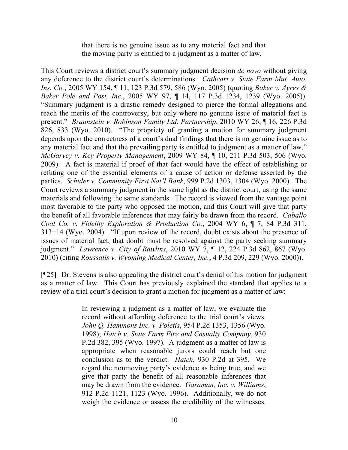that there is no genuine issue as to any material fact and that the moving party is entitled to a judgment as a matter of law.

This Court reviews a district court's summary judgment decision *de novo* without giving any deference to the district court's determinations. *Cathcart v. State Farm Mut. Auto. Ins. Co.*, 2005 WY 154, ¶ 11, 123 P.3d 579, 586 (Wyo. 2005) (quoting *Baker v. Ayres & Baker Pole and Post, Inc.*, 2005 WY 97, ¶ 14, 117 P.3d 1234, 1239 (Wyo. 2005)). "Summary judgment is a drastic remedy designed to pierce the formal allegations and reach the merits of the controversy, but only where no genuine issue of material fact is present." *Braunstein v. Robinson Family Ltd. Partnership*, 2010 WY 26, ¶ 16, 226 P.3d 826, 833 (Wyo. 2010). "The propriety of granting a motion for summary judgment depends upon the correctness of a court's dual findings that there is no genuine issue as to any material fact and that the prevailing party is entitled to judgment as a matter of law." *McGarvey v. Key Property Management*, 2009 WY 84, ¶ 10, 211 P.3d 503, 506 (Wyo. 2009). A fact is material if proof of that fact would have the effect of establishing or refuting one of the essential elements of a cause of action or defense asserted by the parties. *Schuler v. Community First Nat'l Bank*, 999 P.2d 1303, 1304 (Wyo. 2000). The Court reviews a summary judgment in the same light as the district court, using the same materials and following the same standards. The record is viewed from the vantage point most favorable to the party who opposed the motion, and this Court will give that party the benefit of all favorable inferences that may fairly be drawn from the record. *Caballo Coal Co. v. Fidelity Exploration & Production Co.*, 2004 WY 6, ¶ 7, 84 P.3d 311, 313−14 (Wyo. 2004). "If upon review of the record, doubt exists about the presence of issues of material fact, that doubt must be resolved against the party seeking summary judgment." *Lawrence v. City of Rawlins*, 2010 WY 7, ¶ 12, 224 P.3d 862, 867 (Wyo. 2010) (citing *Roussalis v. Wyoming Medical Center, Inc.*, 4 P.3d 209, 229 (Wyo. 2000)).

[¶25] Dr. Stevens is also appealing the district court's denial of his motion for judgment as a matter of law. This Court has previously explained the standard that applies to a review of a trial court's decision to grant a motion for judgment as a matter of law:

> In reviewing a judgment as a matter of law, we evaluate the record without affording deference to the trial court's views. *John Q. Hammons Inc. v. Poletis*, 954 P.2d 1353, 1356 (Wyo. 1998); *Hatch v. State Farm Fire and Casualty Company*, 930 P.2d 382, 395 (Wyo. 1997). A judgment as a matter of law is appropriate when reasonable jurors could reach but one conclusion as to the verdict. *Hatch*, 930 P.2d at 395. We regard the nonmoving party's evidence as being true, and we give that party the benefit of all reasonable inferences that may be drawn from the evidence. *Garaman, Inc. v. Williams*, 912 P.2d 1121, 1123 (Wyo. 1996). Additionally, we do not weigh the evidence or assess the credibility of the witnesses.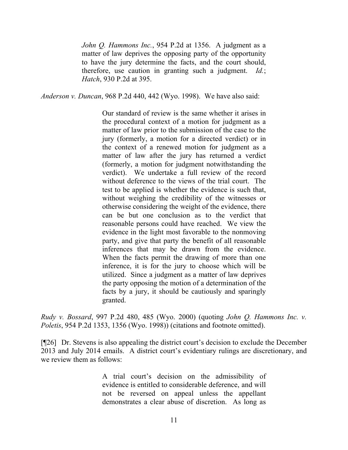*John Q. Hammons Inc.*, 954 P.2d at 1356. A judgment as a matter of law deprives the opposing party of the opportunity to have the jury determine the facts, and the court should, therefore, use caution in granting such a judgment. *Id.*; *Hatch*, 930 P.2d at 395.

*Anderson v. Duncan*, 968 P.2d 440, 442 (Wyo. 1998). We have also said:

Our standard of review is the same whether it arises in the procedural context of a motion for judgment as a matter of law prior to the submission of the case to the jury (formerly, a motion for a directed verdict) or in the context of a renewed motion for judgment as a matter of law after the jury has returned a verdict (formerly, a motion for judgment notwithstanding the verdict). We undertake a full review of the record without deference to the views of the trial court. The test to be applied is whether the evidence is such that, without weighing the credibility of the witnesses or otherwise considering the weight of the evidence, there can be but one conclusion as to the verdict that reasonable persons could have reached. We view the evidence in the light most favorable to the nonmoving party, and give that party the benefit of all reasonable inferences that may be drawn from the evidence. When the facts permit the drawing of more than one inference, it is for the jury to choose which will be utilized. Since a judgment as a matter of law deprives the party opposing the motion of a determination of the facts by a jury, it should be cautiously and sparingly granted.

*Rudy v. Bossard*, 997 P.2d 480, 485 (Wyo. 2000) (quoting *John Q. Hammons Inc. v. Poletis*, 954 P.2d 1353, 1356 (Wyo. 1998)) (citations and footnote omitted).

[¶26] Dr. Stevens is also appealing the district court's decision to exclude the December 2013 and July 2014 emails. A district court's evidentiary rulings are discretionary, and we review them as follows:

> A trial court's decision on the admissibility of evidence is entitled to considerable deference, and will not be reversed on appeal unless the appellant demonstrates a clear abuse of discretion. As long as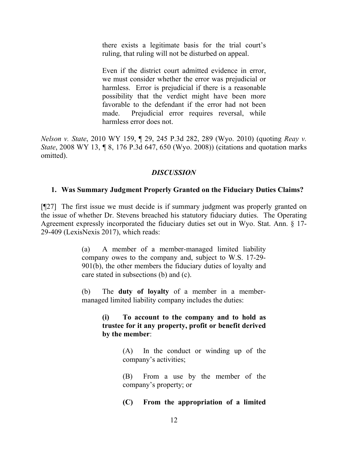there exists a legitimate basis for the trial court's ruling, that ruling will not be disturbed on appeal.

Even if the district court admitted evidence in error, we must consider whether the error was prejudicial or harmless. Error is prejudicial if there is a reasonable possibility that the verdict might have been more favorable to the defendant if the error had not been made. Prejudicial error requires reversal, while harmless error does not.

*Nelson v. State*, 2010 WY 159, ¶ 29, 245 P.3d 282, 289 (Wyo. 2010) (quoting *Reay v. State*, 2008 WY 13, ¶ 8, 176 P.3d 647, 650 (Wyo. 2008)) (citations and quotation marks omitted).

# *DISCUSSION*

## **1. Was Summary Judgment Properly Granted on the Fiduciary Duties Claims?**

[¶27] The first issue we must decide is if summary judgment was properly granted on the issue of whether Dr. Stevens breached his statutory fiduciary duties. The Operating Agreement expressly incorporated the fiduciary duties set out in Wyo. Stat. Ann. § 17- 29-409 (LexisNexis 2017), which reads:

> (a) A member of a member-managed limited liability company owes to the company and, subject to W.S. 17-29- 901(b), the other members the fiduciary duties of loyalty and care stated in subsections (b) and (c).

> (b) The **duty of loyalty** of a member in a membermanaged limited liability company includes the duties:

> > **(i) To account to the company and to hold as trustee for it any property, profit or benefit derived by the member**:

> > > (A) In the conduct or winding up of the company's activities;

> > > (B) From a use by the member of the company's property; or

> > > **(C) From the appropriation of a limited**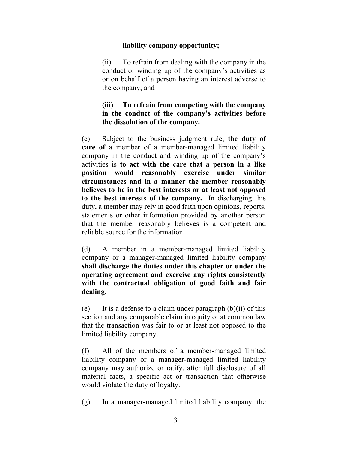#### **liability company opportunity;**

(ii) To refrain from dealing with the company in the conduct or winding up of the company's activities as or on behalf of a person having an interest adverse to the company; and

# **(iii) To refrain from competing with the company in the conduct of the company's activities before the dissolution of the company.**

(c) Subject to the business judgment rule, **the duty of care of** a member of a member-managed limited liability company in the conduct and winding up of the company's activities is **to act with the care that a person in a like position would reasonably exercise under similar circumstances and in a manner the member reasonably believes to be in the best interests or at least not opposed to the best interests of the company.** In discharging this duty, a member may rely in good faith upon opinions, reports, statements or other information provided by another person that the member reasonably believes is a competent and reliable source for the information.

(d) A member in a member-managed limited liability company or a manager-managed limited liability company **shall discharge the duties under this chapter or under the operating agreement and exercise any rights consistently with the contractual obligation of good faith and fair dealing.**

(e) It is a defense to a claim under paragraph  $(b)(ii)$  of this section and any comparable claim in equity or at common law that the transaction was fair to or at least not opposed to the limited liability company.

(f) All of the members of a member-managed limited liability company or a manager-managed limited liability company may authorize or ratify, after full disclosure of all material facts, a specific act or transaction that otherwise would violate the duty of loyalty.

(g) In a manager-managed limited liability company, the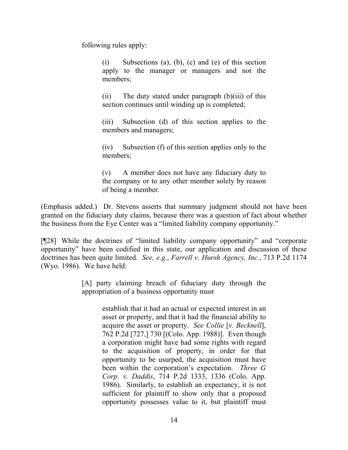following rules apply:

(i) Subsections (a), (b), (c) and (e) of this section apply to the manager or managers and not the members;

(ii) The duty stated under paragraph (b)(iii) of this section continues until winding up is completed;

(iii) Subsection (d) of this section applies to the members and managers;

(iv) Subsection (f) of this section applies only to the members;

(v) A member does not have any fiduciary duty to the company or to any other member solely by reason of being a member.

(Emphasis added.) Dr. Stevens asserts that summary judgment should not have been granted on the fiduciary duty claims, because there was a question of fact about whether the business from the Eye Center was a "limited liability company opportunity."

[¶28] While the doctrines of "limited liability company opportunity" and "corporate opportunity" have been codified in this state, our application and discussion of these doctrines has been quite limited. *See, e.g.*, *Farrell v. Hursh Agency, Inc.*, 713 P.2d 1174 (Wyo. 1986). We have held:

> [A] party claiming breach of fiduciary duty through the appropriation of a business opportunity must

> > establish that it had an actual or expected interest in an asset or property, and that it had the financial ability to acquire the asset or property. *See Collie* [*v. Becknell*], 762 P.2d [727,] 730 [(Colo. App. 1988)]. Even though a corporation might have had some rights with regard to the acquisition of property, in order for that opportunity to be usurped, the acquisition must have been within the corporation's expectation. *Three G Corp. v. Daddis*, 714 P.2d 1333, 1336 (Colo. App. 1986). Similarly, to establish an expectancy, it is not sufficient for plaintiff to show only that a proposed opportunity possesses value to it, but plaintiff must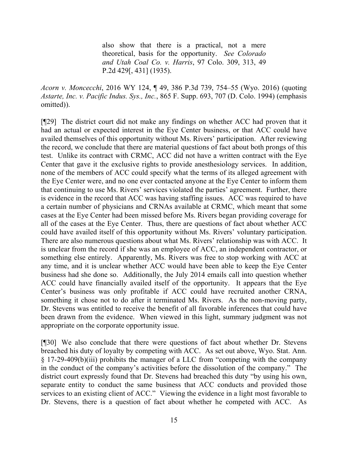also show that there is a practical, not a mere theoretical, basis for the opportunity. *See Colorado and Utah Coal Co. v. Harris*, 97 Colo. 309, 313, 49 P.2d 429[, 431] (1935).

*Acorn v. Moncecchi*, 2016 WY 124, ¶ 49, 386 P.3d 739, 754–55 (Wyo. 2016) (quoting *Astarte, Inc. v. Pacific Indus. Sys., Inc.*, 865 F. Supp. 693, 707 (D. Colo. 1994) (emphasis omitted)).

[¶29] The district court did not make any findings on whether ACC had proven that it had an actual or expected interest in the Eye Center business, or that ACC could have availed themselves of this opportunity without Ms. Rivers' participation. After reviewing the record, we conclude that there are material questions of fact about both prongs of this test. Unlike its contract with CRMC, ACC did not have a written contract with the Eye Center that gave it the exclusive rights to provide anesthesiology services. In addition, none of the members of ACC could specify what the terms of its alleged agreement with the Eye Center were, and no one ever contacted anyone at the Eye Center to inform them that continuing to use Ms. Rivers' services violated the parties' agreement. Further, there is evidence in the record that ACC was having staffing issues. ACC was required to have a certain number of physicians and CRNAs available at CRMC, which meant that some cases at the Eye Center had been missed before Ms. Rivers began providing coverage for all of the cases at the Eye Center. Thus, there are questions of fact about whether ACC could have availed itself of this opportunity without Ms. Rivers' voluntary participation. There are also numerous questions about what Ms. Rivers' relationship was with ACC. It is unclear from the record if she was an employee of ACC, an independent contractor, or something else entirely. Apparently, Ms. Rivers was free to stop working with ACC at any time, and it is unclear whether ACC would have been able to keep the Eye Center business had she done so. Additionally, the July 2014 emails call into question whether ACC could have financially availed itself of the opportunity. It appears that the Eye Center's business was only profitable if ACC could have recruited another CRNA, something it chose not to do after it terminated Ms. Rivers. As the non-moving party, Dr. Stevens was entitled to receive the benefit of all favorable inferences that could have been drawn from the evidence. When viewed in this light, summary judgment was not appropriate on the corporate opportunity issue.

[¶30] We also conclude that there were questions of fact about whether Dr. Stevens breached his duty of loyalty by competing with ACC. As set out above, Wyo. Stat. Ann. § 17-29-409(b)(iii) prohibits the manager of a LLC from "competing with the company in the conduct of the company's activities before the dissolution of the company." The district court expressly found that Dr. Stevens had breached this duty "by using his own, separate entity to conduct the same business that ACC conducts and provided those services to an existing client of ACC." Viewing the evidence in a light most favorable to Dr. Stevens, there is a question of fact about whether he competed with ACC. As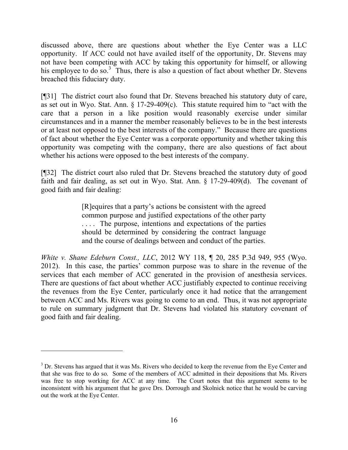discussed above, there are questions about whether the Eye Center was a LLC opportunity. If ACC could not have availed itself of the opportunity, Dr. Stevens may not have been competing with ACC by taking this opportunity for himself, or allowing his employee to do so.<sup>3</sup> Thus, there is also a question of fact about whether Dr. Stevens breached this fiduciary duty.

[¶31] The district court also found that Dr. Stevens breached his statutory duty of care, as set out in Wyo. Stat. Ann. § 17-29-409(c). This statute required him to "act with the care that a person in a like position would reasonably exercise under similar circumstances and in a manner the member reasonably believes to be in the best interests or at least not opposed to the best interests of the company." Because there are questions of fact about whether the Eye Center was a corporate opportunity and whether taking this opportunity was competing with the company, there are also questions of fact about whether his actions were opposed to the best interests of the company.

[¶32] The district court also ruled that Dr. Stevens breached the statutory duty of good faith and fair dealing, as set out in Wyo. Stat. Ann. § 17-29-409(d). The covenant of good faith and fair dealing:

> [R]equires that a party's actions be consistent with the agreed common purpose and justified expectations of the other party . . . . The purpose, intentions and expectations of the parties should be determined by considering the contract language and the course of dealings between and conduct of the parties.

*White v. Shane Edeburn Const., LLC*, 2012 WY 118, ¶ 20, 285 P.3d 949, 955 (Wyo. 2012). In this case, the parties' common purpose was to share in the revenue of the services that each member of ACC generated in the provision of anesthesia services. There are questions of fact about whether ACC justifiably expected to continue receiving the revenues from the Eye Center, particularly once it had notice that the arrangement between ACC and Ms. Rivers was going to come to an end. Thus, it was not appropriate to rule on summary judgment that Dr. Stevens had violated his statutory covenant of good faith and fair dealing.

 $\overline{a}$ 

<sup>&</sup>lt;sup>3</sup> Dr. Stevens has argued that it was Ms. Rivers who decided to keep the revenue from the Eye Center and that she was free to do so. Some of the members of ACC admitted in their depositions that Ms. Rivers was free to stop working for ACC at any time. The Court notes that this argument seems to be inconsistent with his argument that he gave Drs. Dorrough and Skolnick notice that he would be carving out the work at the Eye Center.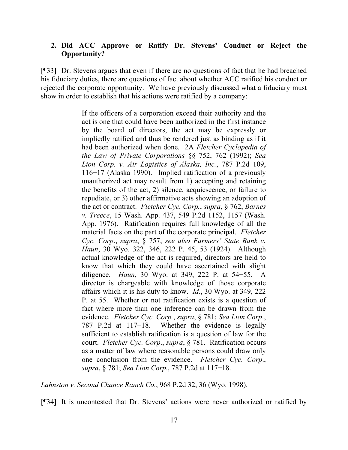# **2. Did ACC Approve or Ratify Dr. Stevens' Conduct or Reject the Opportunity?**

[¶33] Dr. Stevens argues that even if there are no questions of fact that he had breached his fiduciary duties, there are questions of fact about whether ACC ratified his conduct or rejected the corporate opportunity. We have previously discussed what a fiduciary must show in order to establish that his actions were ratified by a company:

> If the officers of a corporation exceed their authority and the act is one that could have been authorized in the first instance by the board of directors, the act may be expressly or impliedly ratified and thus be rendered just as binding as if it had been authorized when done. 2A *Fletcher Cyclopedia of the Law of Private Corporations* §§ 752, 762 (1992); *Sea Lion Corp. v. Air Logistics of Alaska, Inc.*, 787 P.2d 109, 116−17 (Alaska 1990). Implied ratification of a previously unauthorized act may result from 1) accepting and retaining the benefits of the act, 2) silence, acquiescence, or failure to repudiate, or 3) other affirmative acts showing an adoption of the act or contract. *Fletcher Cyc. Corp.*, *supra*, § 762, *Barnes v. Treece*, 15 Wash. App. 437, 549 P.2d 1152, 1157 (Wash. App. 1976). Ratification requires full knowledge of all the material facts on the part of the corporate principal. *Fletcher Cyc. Corp*., *supra*, § 757; *see also Farmers' State Bank v. Haun*, 30 Wyo. 322, 346, 222 P. 45, 53 (1924). Although actual knowledge of the act is required, directors are held to know that which they could have ascertained with slight diligence. *Haun*, 30 Wyo. at 349, 222 P. at 54−55. A director is chargeable with knowledge of those corporate affairs which it is his duty to know. *Id.*, 30 Wyo. at 349, 222 P. at 55. Whether or not ratification exists is a question of fact where more than one inference can be drawn from the evidence. *Fletcher Cyc. Corp.*, *supra*, § 781; *Sea Lion Corp*., 787 P.2d at 117−18. Whether the evidence is legally sufficient to establish ratification is a question of law for the court. *Fletcher Cyc. Corp*., *supra*, § 781. Ratification occurs as a matter of law where reasonable persons could draw only one conclusion from the evidence. *Fletcher Cyc. Corp*., *supra*, § 781; *Sea Lion Corp*., 787 P.2d at 117−18.

*Lahnston v. Second Chance Ranch Co.*, 968 P.2d 32, 36 (Wyo. 1998).

[¶34] It is uncontested that Dr. Stevens' actions were never authorized or ratified by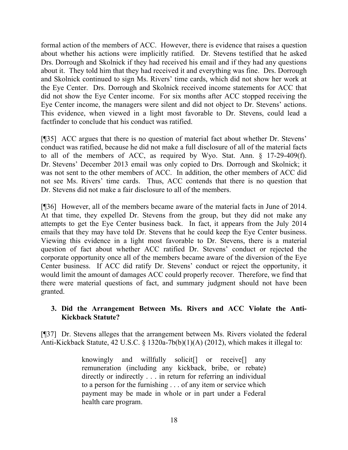formal action of the members of ACC. However, there is evidence that raises a question about whether his actions were implicitly ratified. Dr. Stevens testified that he asked Drs. Dorrough and Skolnick if they had received his email and if they had any questions about it. They told him that they had received it and everything was fine. Drs. Dorrough and Skolnick continued to sign Ms. Rivers' time cards, which did not show her work at the Eye Center. Drs. Dorrough and Skolnick received income statements for ACC that did not show the Eye Center income. For six months after ACC stopped receiving the Eye Center income, the managers were silent and did not object to Dr. Stevens' actions. This evidence, when viewed in a light most favorable to Dr. Stevens, could lead a factfinder to conclude that his conduct was ratified.

[¶35] ACC argues that there is no question of material fact about whether Dr. Stevens' conduct was ratified, because he did not make a full disclosure of all of the material facts to all of the members of ACC, as required by Wyo. Stat. Ann. § 17-29-409(f). Dr. Stevens' December 2013 email was only copied to Drs. Dorrough and Skolnick; it was not sent to the other members of ACC. In addition, the other members of ACC did not see Ms. Rivers' time cards. Thus, ACC contends that there is no question that Dr. Stevens did not make a fair disclosure to all of the members.

[¶36] However, all of the members became aware of the material facts in June of 2014. At that time, they expelled Dr. Stevens from the group, but they did not make any attempts to get the Eye Center business back. In fact, it appears from the July 2014 emails that they may have told Dr. Stevens that he could keep the Eye Center business. Viewing this evidence in a light most favorable to Dr. Stevens, there is a material question of fact about whether ACC ratified Dr. Stevens' conduct or rejected the corporate opportunity once all of the members became aware of the diversion of the Eye Center business. If ACC did ratify Dr. Stevens' conduct or reject the opportunity, it would limit the amount of damages ACC could properly recover. Therefore, we find that there were material questions of fact, and summary judgment should not have been granted.

# **3. Did the Arrangement Between Ms. Rivers and ACC Violate the Anti-Kickback Statute?**

[¶37] Dr. Stevens alleges that the arrangement between Ms. Rivers violated the federal Anti-Kickback Statute, 42 U.S.C. § 1320a-7b(b)(1)(A) (2012), which makes it illegal to:

> knowingly and willfully solicit[] or receive[] any remuneration (including any kickback, bribe, or rebate) directly or indirectly . . . in return for referring an individual to a person for the furnishing . . . of any item or service which payment may be made in whole or in part under a Federal health care program.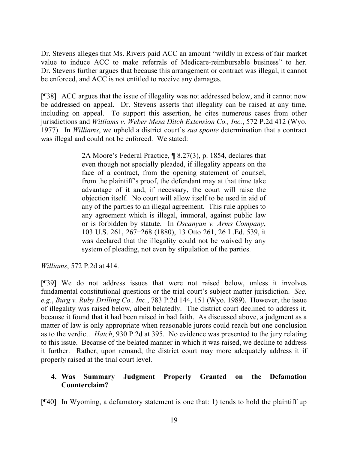Dr. Stevens alleges that Ms. Rivers paid ACC an amount "wildly in excess of fair market value to induce ACC to make referrals of Medicare-reimbursable business" to her. Dr. Stevens further argues that because this arrangement or contract was illegal, it cannot be enforced, and ACC is not entitled to receive any damages.

[¶38] ACC argues that the issue of illegality was not addressed below, and it cannot now be addressed on appeal. Dr. Stevens asserts that illegality can be raised at any time, including on appeal. To support this assertion, he cites numerous cases from other jurisdictions and *Williams v. Weber Mesa Ditch Extension Co., Inc.*, 572 P.2d 412 (Wyo. 1977). In *Williams*, we upheld a district court's *sua sponte* determination that a contract was illegal and could not be enforced. We stated:

> 2A Moore's Federal Practice, ¶ 8.27(3), p. 1854, declares that even though not specially pleaded, if illegality appears on the face of a contract, from the opening statement of counsel, from the plaintiff's proof, the defendant may at that time take advantage of it and, if necessary, the court will raise the objection itself. No court will allow itself to be used in aid of any of the parties to an illegal agreement. This rule applies to any agreement which is illegal, immoral, against public law or is forbidden by statute. In *Oscanyan v. Arms Company*, 103 U.S. 261, 267−268 (1880), 13 Otto 261, 26 L.Ed. 539, it was declared that the illegality could not be waived by any system of pleading, not even by stipulation of the parties.

*Williams*, 572 P.2d at 414.

[¶39] We do not address issues that were not raised below, unless it involves fundamental constitutional questions or the trial court's subject matter jurisdiction. *See, e.g.*, *Burg v. Ruby Drilling Co., Inc.*, 783 P.2d 144, 151 (Wyo. 1989). However, the issue of illegality was raised below, albeit belatedly. The district court declined to address it, because it found that it had been raised in bad faith. As discussed above, a judgment as a matter of law is only appropriate when reasonable jurors could reach but one conclusion as to the verdict. *Hatch*, 930 P.2d at 395. No evidence was presented to the jury relating to this issue. Because of the belated manner in which it was raised, we decline to address it further. Rather, upon remand, the district court may more adequately address it if properly raised at the trial court level.

## **4. Was Summary Judgment Properly Granted on the Defamation Counterclaim?**

[¶40] In Wyoming, a defamatory statement is one that: 1) tends to hold the plaintiff up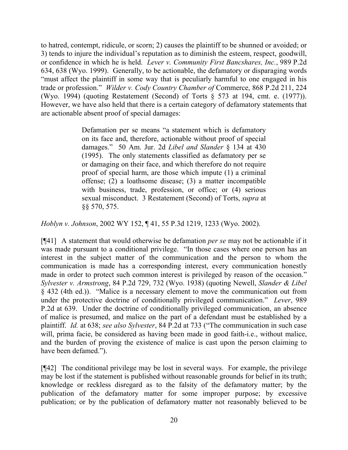to hatred, contempt, ridicule, or scorn; 2) causes the plaintiff to be shunned or avoided; or 3) tends to injure the individual's reputation as to diminish the esteem, respect, goodwill, or confidence in which he is held. *Lever v. Community First Bancshares, Inc.*, 989 P.2d 634, 638 (Wyo. 1999). Generally, to be actionable, the defamatory or disparaging words "must affect the plaintiff in some way that is peculiarly harmful to one engaged in his trade or profession." *Wilder v. Cody Country Chamber of* Commerce, 868 P.2d 211, 224 (Wyo. 1994) (quoting Restatement (Second) of Torts § 573 at 194, cmt. e. (1977)). However, we have also held that there is a certain category of defamatory statements that are actionable absent proof of special damages:

> Defamation per se means "a statement which is defamatory on its face and, therefore, actionable without proof of special damages." 50 Am. Jur. 2d *Libel and Slander* § 134 at 430 (1995). The only statements classified as defamatory per se or damaging on their face, and which therefore do not require proof of special harm, are those which impute (1) a criminal offense; (2) a loathsome disease; (3) a matter incompatible with business, trade, profession, or office; or  $(4)$  serious sexual misconduct. 3 Restatement (Second) of Torts, *supra* at §§ 570, 575.

*Hoblyn v. Johnson*, 2002 WY 152, ¶ 41, 55 P.3d 1219, 1233 (Wyo. 2002).

[¶41] A statement that would otherwise be defamation *per se* may not be actionable if it was made pursuant to a conditional privilege. "In those cases where one person has an interest in the subject matter of the communication and the person to whom the communication is made has a corresponding interest, every communication honestly made in order to protect such common interest is privileged by reason of the occasion." *Sylvester v. Armstrong*, 84 P.2d 729, 732 (Wyo. 1938) (quoting Newell, *Slander & Libel* § 432 (4th ed.)). "Malice is a necessary element to move the communication out from under the protective doctrine of conditionally privileged communication." *Lever*, 989 P.2d at 639. Under the doctrine of conditionally privileged communication, an absence of malice is presumed, and malice on the part of a defendant must be established by a plaintiff. *Id.* at 638; *see also Sylvester*, 84 P.2d at 733 ("The communication in such case will, prima facie, be considered as having been made in good faith-i.e., without malice, and the burden of proving the existence of malice is cast upon the person claiming to have been defamed.").

[¶42] The conditional privilege may be lost in several ways. For example, the privilege may be lost if the statement is published without reasonable grounds for belief in its truth; knowledge or reckless disregard as to the falsity of the defamatory matter; by the publication of the defamatory matter for some improper purpose; by excessive publication; or by the publication of defamatory matter not reasonably believed to be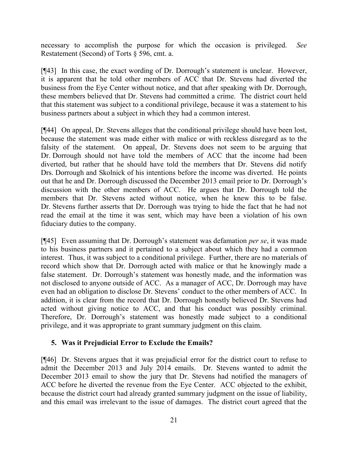necessary to accomplish the purpose for which the occasion is privileged. *See* Restatement (Second) of Torts § 596, cmt. a.

[¶43] In this case, the exact wording of Dr. Dorrough's statement is unclear. However, it is apparent that he told other members of ACC that Dr. Stevens had diverted the business from the Eye Center without notice, and that after speaking with Dr. Dorrough, these members believed that Dr. Stevens had committed a crime. The district court held that this statement was subject to a conditional privilege, because it was a statement to his business partners about a subject in which they had a common interest.

[¶44] On appeal, Dr. Stevens alleges that the conditional privilege should have been lost, because the statement was made either with malice or with reckless disregard as to the falsity of the statement. On appeal, Dr. Stevens does not seem to be arguing that Dr. Dorrough should not have told the members of ACC that the income had been diverted, but rather that he should have told the members that Dr. Stevens did notify Drs. Dorrough and Skolnick of his intentions before the income was diverted. He points out that he and Dr. Dorrough discussed the December 2013 email prior to Dr. Dorrough's discussion with the other members of ACC. He argues that Dr. Dorrough told the members that Dr. Stevens acted without notice, when he knew this to be false. Dr. Stevens further asserts that Dr. Dorrough was trying to hide the fact that he had not read the email at the time it was sent, which may have been a violation of his own fiduciary duties to the company.

[¶45] Even assuming that Dr. Dorrough's statement was defamation *per se*, it was made to his business partners and it pertained to a subject about which they had a common interest. Thus, it was subject to a conditional privilege. Further, there are no materials of record which show that Dr. Dorrough acted with malice or that he knowingly made a false statement. Dr. Dorrough's statement was honestly made, and the information was not disclosed to anyone outside of ACC. As a manager of ACC, Dr. Dorrough may have even had an obligation to disclose Dr. Stevens' conduct to the other members of ACC. In addition, it is clear from the record that Dr. Dorrough honestly believed Dr. Stevens had acted without giving notice to ACC, and that his conduct was possibly criminal. Therefore, Dr. Dorrough's statement was honestly made subject to a conditional privilege, and it was appropriate to grant summary judgment on this claim.

## **5. Was it Prejudicial Error to Exclude the Emails?**

[¶46] Dr. Stevens argues that it was prejudicial error for the district court to refuse to admit the December 2013 and July 2014 emails. Dr. Stevens wanted to admit the December 2013 email to show the jury that Dr. Stevens had notified the managers of ACC before he diverted the revenue from the Eye Center. ACC objected to the exhibit, because the district court had already granted summary judgment on the issue of liability, and this email was irrelevant to the issue of damages. The district court agreed that the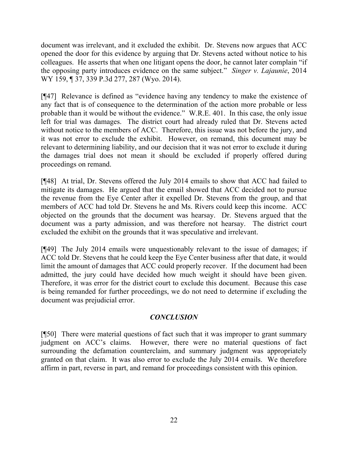document was irrelevant, and it excluded the exhibit. Dr. Stevens now argues that ACC opened the door for this evidence by arguing that Dr. Stevens acted without notice to his colleagues. He asserts that when one litigant opens the door, he cannot later complain "if the opposing party introduces evidence on the same subject." *Singer v. Lajaunie*, 2014 WY 159, ¶ 37, 339 P.3d 277, 287 (Wyo. 2014).

[¶47] Relevance is defined as "evidence having any tendency to make the existence of any fact that is of consequence to the determination of the action more probable or less probable than it would be without the evidence." W.R.E. 401. In this case, the only issue left for trial was damages. The district court had already ruled that Dr. Stevens acted without notice to the members of ACC. Therefore, this issue was not before the jury, and it was not error to exclude the exhibit. However, on remand, this document may be relevant to determining liability, and our decision that it was not error to exclude it during the damages trial does not mean it should be excluded if properly offered during proceedings on remand.

[¶48] At trial, Dr. Stevens offered the July 2014 emails to show that ACC had failed to mitigate its damages. He argued that the email showed that ACC decided not to pursue the revenue from the Eye Center after it expelled Dr. Stevens from the group, and that members of ACC had told Dr. Stevens he and Ms. Rivers could keep this income. ACC objected on the grounds that the document was hearsay. Dr. Stevens argued that the document was a party admission, and was therefore not hearsay. The district court excluded the exhibit on the grounds that it was speculative and irrelevant.

[¶49] The July 2014 emails were unquestionably relevant to the issue of damages; if ACC told Dr. Stevens that he could keep the Eye Center business after that date, it would limit the amount of damages that ACC could properly recover. If the document had been admitted, the jury could have decided how much weight it should have been given. Therefore, it was error for the district court to exclude this document. Because this case is being remanded for further proceedings, we do not need to determine if excluding the document was prejudicial error.

# *CONCLUSION*

[¶50] There were material questions of fact such that it was improper to grant summary judgment on ACC's claims. However, there were no material questions of fact surrounding the defamation counterclaim, and summary judgment was appropriately granted on that claim. It was also error to exclude the July 2014 emails. We therefore affirm in part, reverse in part, and remand for proceedings consistent with this opinion.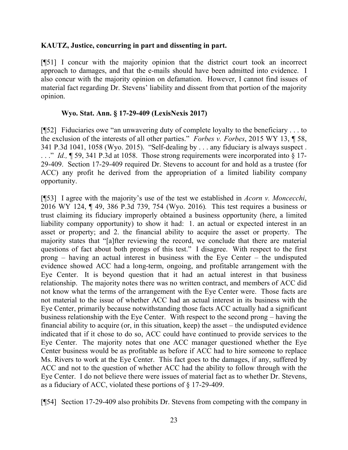#### **KAUTZ, Justice, concurring in part and dissenting in part.**

[¶51] I concur with the majority opinion that the district court took an incorrect approach to damages, and that the e-mails should have been admitted into evidence. I also concur with the majority opinion on defamation. However, I cannot find issues of material fact regarding Dr. Stevens' liability and dissent from that portion of the majority opinion.

#### **Wyo. Stat. Ann. § 17-29-409 (LexisNexis 2017)**

[¶52] Fiduciaries owe "an unwavering duty of complete loyalty to the beneficiary . . . to the exclusion of the interests of all other parties." *Forbes v. Forbes*, 2015 WY 13, ¶ 58, 341 P.3d 1041, 1058 (Wyo. 2015). "Self-dealing by . . . any fiduciary is always suspect . ..." *Id.*, ¶ 59, 341 P.3d at 1058. Those strong requirements were incorporated into § 17-29-409. Section 17-29-409 required Dr. Stevens to account for and hold as a trustee (for ACC) any profit he derived from the appropriation of a limited liability company opportunity.

[¶53] I agree with the majority's use of the test we established in *Acorn v. Moncecchi*, 2016 WY 124, ¶ 49, 386 P.3d 739, 754 (Wyo. 2016)*.* This test requires a business or trust claiming its fiduciary improperly obtained a business opportunity (here, a limited liability company opportunity) to show it had: 1. an actual or expected interest in an asset or property; and 2. the financial ability to acquire the asset or property. The majority states that "[a]fter reviewing the record, we conclude that there are material questions of fact about both prongs of this test." I disagree. With respect to the first prong – having an actual interest in business with the Eye Center – the undisputed evidence showed ACC had a long-term, ongoing, and profitable arrangement with the Eye Center. It is beyond question that it had an actual interest in that business relationship. The majority notes there was no written contract, and members of ACC did not know what the terms of the arrangement with the Eye Center were. Those facts are not material to the issue of whether ACC had an actual interest in its business with the Eye Center, primarily because notwithstanding those facts ACC actually had a significant business relationship with the Eye Center. With respect to the second prong – having the financial ability to acquire (or, in this situation, keep) the asset – the undisputed evidence indicated that if it chose to do so, ACC could have continued to provide services to the Eye Center. The majority notes that one ACC manager questioned whether the Eye Center business would be as profitable as before if ACC had to hire someone to replace Ms. Rivers to work at the Eye Center. This fact goes to the damages, if any, suffered by ACC and not to the question of whether ACC had the ability to follow through with the Eye Center. I do not believe there were issues of material fact as to whether Dr. Stevens, as a fiduciary of ACC, violated these portions of § 17-29-409.

[¶54] Section 17-29-409 also prohibits Dr. Stevens from competing with the company in